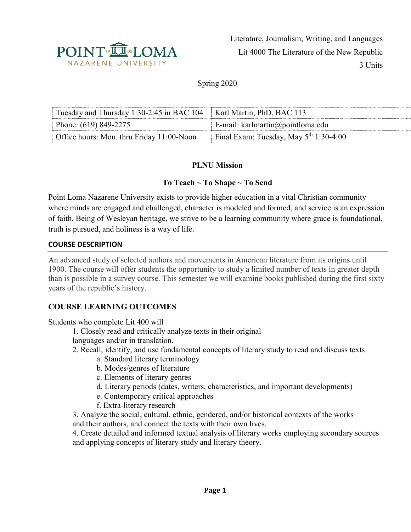

Literature, Journalism, Writing, and Languages Lit 4000 The Literature of the New Republic 3 Units

Spring 2020

| Tuesday and Thursday 1:30-2:45 in BAC 104   Karl Martin, PhD, BAC 113 |                                                    |
|-----------------------------------------------------------------------|----------------------------------------------------|
| Phone: $(619) 849 - 2275$                                             | E-mail: karlmartin@pointloma.edu                   |
| Office hours: Mon. thru Friday 11:00-Noon                             | Final Exam: Tuesday, May 5 <sup>th</sup> 1:30-4:00 |

#### **PLNU Mission**

#### **To Teach ~ To Shape ~ To Send**

Point Loma Nazarene University exists to provide higher education in a vital Christian community where minds are engaged and challenged, character is modeled and formed, and service is an expression of faith. Being of Wesleyan heritage, we strive to be a learning community where grace is foundational, truth is pursued, and holiness is a way of life.

#### **COURSE DESCRIPTION**

An advanced study of selected authors and movements in American literature from its origins until 1900. The course will offer students the opportunity to study a limited number of texts in greater depth than is possible in a survey course. This semester we will examine books published during the first sixty years of the republic's history.

#### **COURSE LEARNING OUTCOMES**

Students who complete Lit 400 will

1. Closely read and critically analyze texts in their original

languages and/or in translation.

- 2. Recall, identify, and use fundamental concepts of literary study to read and discuss texts
	- a. Standard literary terminology
	- b. Modes/genres of literature
	- c. Elements of literary genres
	- d. Literary periods (dates, writers, characteristics, and important developments)
	- e. Contemporary critical approaches
	- f. Extra-literary research

3. Analyze the social, cultural, ethnic, gendered, and/or historical contexts of the works and their authors, and connect the texts with their own lives.

4. Create detailed and informed textual analysis of literary works employing secondary sources and applying concepts of literary study and literary theory.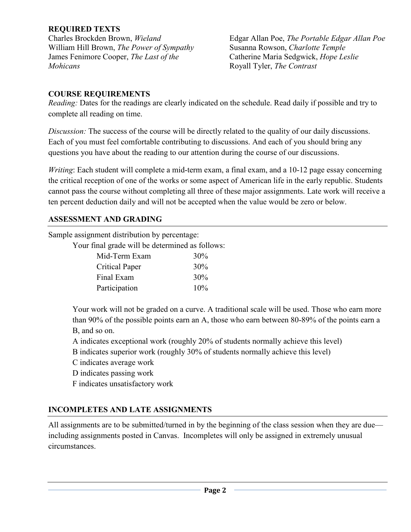### **REQUIRED TEXTS**

Charles Brockden Brown, *Wieland* William Hill Brown, *The Power of Sympathy* James Fenimore Cooper, *The Last of the Mohicans*

Edgar Allan Poe, *The Portable Edgar Allan Poe* Susanna Rowson, *Charlotte Temple* Catherine Maria Sedgwick, *Hope Leslie* Royall Tyler, *The Contrast*

#### **COURSE REQUIREMENTS**

*Reading:* Dates for the readings are clearly indicated on the schedule. Read daily if possible and try to complete all reading on time.

*Discussion:* The success of the course will be directly related to the quality of our daily discussions. Each of you must feel comfortable contributing to discussions. And each of you should bring any questions you have about the reading to our attention during the course of our discussions.

*Writing*: Each student will complete a mid-term exam, a final exam, and a 10-12 page essay concerning the critical reception of one of the works or some aspect of American life in the early republic. Students cannot pass the course without completing all three of these major assignments. Late work will receive a ten percent deduction daily and will not be accepted when the value would be zero or below.

### **ASSESSMENT AND GRADING**

Sample assignment distribution by percentage:

Your final grade will be determined as follows:

| Mid-Term Exam  | 30% |
|----------------|-----|
| Critical Paper | 30% |
| Final Exam     | 30% |
| Participation  | 10% |

Your work will not be graded on a curve. A traditional scale will be used. Those who earn more than 90% of the possible points earn an A, those who earn between 80-89% of the points earn a B, and so on.

A indicates exceptional work (roughly 20% of students normally achieve this level)

B indicates superior work (roughly 30% of students normally achieve this level)

C indicates average work

- D indicates passing work
- F indicates unsatisfactory work

### **INCOMPLETES AND LATE ASSIGNMENTS**

All assignments are to be submitted/turned in by the beginning of the class session when they are due including assignments posted in Canvas. Incompletes will only be assigned in extremely unusual circumstances.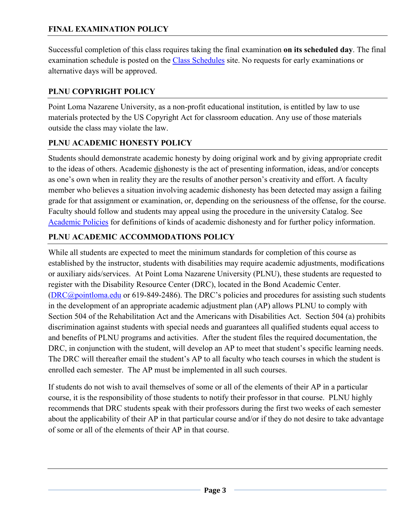## **FINAL EXAMINATION POLICY**

Successful completion of this class requires taking the final examination **on its scheduled day**. The final examination schedule is posted on the [Class Schedules](http://www.pointloma.edu/experience/academics/class-schedules) site. No requests for early examinations or alternative days will be approved.

## **PLNU COPYRIGHT POLICY**

Point Loma Nazarene University, as a non-profit educational institution, is entitled by law to use materials protected by the US Copyright Act for classroom education. Any use of those materials outside the class may violate the law.

## **PLNU ACADEMIC HONESTY POLICY**

Students should demonstrate academic honesty by doing original work and by giving appropriate credit to the ideas of others. Academic dishonesty is the act of presenting information, ideas, and/or concepts as one's own when in reality they are the results of another person's creativity and effort. A faculty member who believes a situation involving academic dishonesty has been detected may assign a failing grade for that assignment or examination, or, depending on the seriousness of the offense, for the course. Faculty should follow and students may appeal using the procedure in the university Catalog. See [Academic Policies](http://catalog.pointloma.edu/content.php?catoid=18&navoid=1278) for definitions of kinds of academic dishonesty and for further policy information.

## **PLNU ACADEMIC ACCOMMODATIONS POLICY**

While all students are expected to meet the minimum standards for completion of this course as established by the instructor, students with disabilities may require academic adjustments, modifications or auxiliary aids/services. At Point Loma Nazarene University (PLNU), these students are requested to register with the Disability Resource Center (DRC), located in the Bond Academic Center. [\(DRC@pointloma.edu](mailto:DRC@pointloma.edu) or 619-849-2486). The DRC's policies and procedures for assisting such students in the development of an appropriate academic adjustment plan (AP) allows PLNU to comply with Section 504 of the Rehabilitation Act and the Americans with Disabilities Act. Section 504 (a) prohibits discrimination against students with special needs and guarantees all qualified students equal access to and benefits of PLNU programs and activities. After the student files the required documentation, the DRC, in conjunction with the student, will develop an AP to meet that student's specific learning needs. The DRC will thereafter email the student's AP to all faculty who teach courses in which the student is enrolled each semester. The AP must be implemented in all such courses.

If students do not wish to avail themselves of some or all of the elements of their AP in a particular course, it is the responsibility of those students to notify their professor in that course. PLNU highly recommends that DRC students speak with their professors during the first two weeks of each semester about the applicability of their AP in that particular course and/or if they do not desire to take advantage of some or all of the elements of their AP in that course.